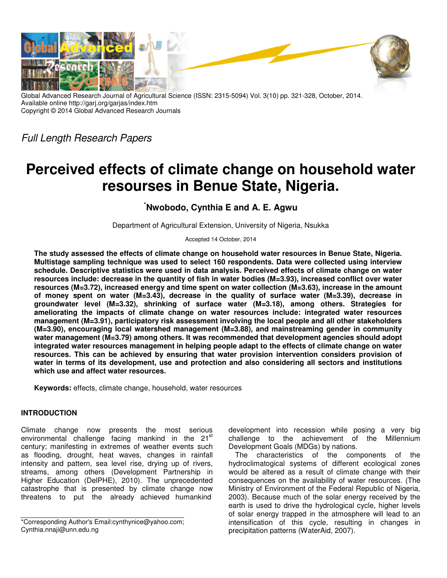

Global Advanced Research Journal of Agricultural Science (ISSN: 2315-5094) Vol. 3(10) pp. 321-328, October, 2014. Available online http://garj.org/garjas/index.htm Copyright © 2014 Global Advanced Research Journals

*Full Length Research Papers*

# **Perceived effects of climate change on household water resourses in Benue State, Nigeria.**

**\*Nwobodo, Cynthia E and A. E. Agwu** 

Department of Agricultural Extension, University of Nigeria, Nsukka

Accepted 14 October, 2014

**The study assessed the effects of climate change on household water resources in Benue State, Nigeria. Multistage sampling technique was used to select 160 respondents. Data were collected using interview schedule. Descriptive statistics were used in data analysis. Perceived effects of climate change on water resources include: decrease in the quantity of fish in water bodies (M=3.93), increased conflict over water resources (M=3.72), increased energy and time spent on water collection (M=3.63), increase in the amount of money spent on water (M=3.43), decrease in the quality of surface water (M=3.39), decrease in groundwater level (M=3.32), shrinking of surface water (M=3.18), among others. Strategies for ameliorating the impacts of climate change on water resources include: integrated water resources management (M=3.91), participatory risk assessment involving the local people and all other stakeholders (M=3.90), encouraging local watershed management (M=3.88), and mainstreaming gender in community water management (M=3.79) among others. It was recommended that development agencies should adopt integrated water resources management in helping people adapt to the effects of climate change on water resources. This can be achieved by ensuring that water provision intervention considers provision of water in terms of its development, use and protection and also considering all sectors and institutions which use and affect water resources.** 

**Keywords:** effects, climate change, household, water resources

# **INTRODUCTION**

Climate change now presents the most serious environmental challenge facing mankind in the 21<sup>st</sup> century; manifesting in extremes of weather events such as flooding, drought, heat waves, changes in rainfall intensity and pattern, sea level rise, drying up of rivers, streams, among others (Development Partnership in Higher Education (DelPHE), 2010). The unprecedented catastrophe that is presented by climate change now threatens to put the already achieved humankind

development into recession while posing a very big challenge to the achievement of the Millennium Development Goals (MDGs) by nations.

The characteristics of the components of the hydroclimatogical systems of different ecological zones would be altered as a result of climate change with their consequences on the availability of water resources. (The Ministry of Environment of the Federal Republic of Nigeria, 2003). Because much of the solar energy received by the earth is used to drive the hydrological cycle, higher levels of solar energy trapped in the atmosphere will lead to an intensification of this cycle, resulting in changes in precipitation patterns (WaterAid, 2007).

<sup>\*</sup>Corresponding Author's Email:cynthynice@yahoo.com; Cynthia.nnaji@unn.edu.ng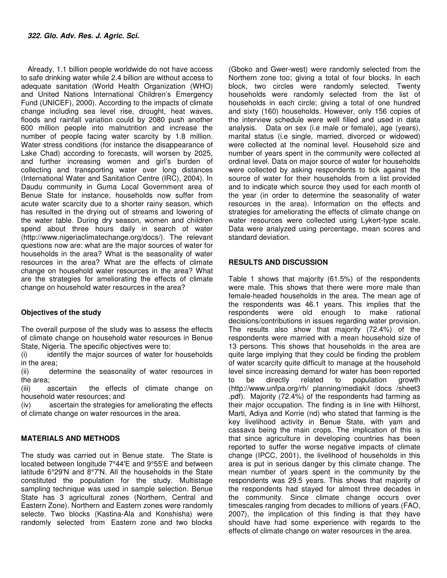Already, 1.1 billion people worldwide do not have access to safe drinking water while 2.4 billion are without access to adequate sanitation (World Health Organization (WHO) and United Nations International Children's Emergency Fund (UNICEF), 2000). According to the impacts of climate change including sea level rise, drought, heat waves, floods and rainfall variation could by 2080 push another 600 million people into malnutrition and increase the number of people facing water scarcity by 1.8 million. Water stress conditions (for instance the disappearance of Lake Chad) according to forecasts, will worsen by 2025, and further increasing women and girl's burden of collecting and transporting water over long distances (International Water and Sanitation Centre (IRC), 2004). In Daudu community in Guma Local Government area of Benue State for instance, households now suffer from acute water scarcity due to a shorter rainy season, which has resulted in the drying out of streams and lowering of the water table. During dry season, women and children spend about three hours daily in search of water (http://www.nigeriaclimatechange.org/docs/). The relevant questions now are: what are the major sources of water for households in the area? What is the seasonality of water resources in the area? What are the effects of climate change on household water resources in the area? What are the strategies for ameliorating the effects of climate change on household water resources in the area?

# **Objectives of the study**

The overall purpose of the study was to assess the effects of climate change on household water resources in Benue State, Nigeria. The specific objectives were to:

(i) identify the major sources of water for households in the area;

(ii) determine the seasonality of water resources in the area;

(iii) ascertain the effects of climate change on household water resources; and

(iv) ascertain the strategies for ameliorating the effects of climate change on water resources in the area.

## **MATERIALS AND METHODS**

The study was carried out in Benue state. The State is located between longitude 7°44'E and 9°55'E and between latitude 6°29'N and 8°7'N. All the households in the State constituted the population for the study. Multistage sampling technique was used in sample selection. Benue State has 3 agricultural zones (Northern, Central and Eastern Zone). Northern and Eastern zones were randomly selecte. Two blocks (Kastina-Ala and Konshisha) were randomly selected from Eastern zone and two blocks

(Gboko and Gwer-west) were randomly selected from the Northern zone too; giving a total of four blocks. In each block, two circles were randomly selected. Twenty households were randomly selected from the list of households in each circle; giving a total of one hundred and sixty (160) households. However, only 156 copies of the interview schedule were well filled and used in data analysis. Data on sex (i.e male or female), age (years), marital status (i.e single, married, divorced or widowed) were collected at the nominal level. Household size and number of years spent in the community were collected at ordinal level. Data on major source of water for households were collected by asking respondents to tick against the source of water for their households from a list provided and to indicate which source they used for each month of the year (in order to determine the seasonality of water resources in the area). Information on the effects and strategies for ameliorating the effects of climate change on water resources were collected using Lykert-type scale. Data were analyzed using percentage, mean scores and standard deviation.

## **RESULTS AND DISCUSSION**

Table 1 shows that majority (61.5%) of the respondents were male. This shows that there were more male than female-headed households in the area. The mean age of the respondents was 46.1 years. This implies that the respondents were old enough to make rational decisions/contributions in issues regarding water provision. The results also show that majority (72.4%) of the respondents were married with a mean household size of 13 persons. This shows that households in the area are quite large implying that they could be finding the problem of water scarcity quite difficult to manage at the household level since increasing demand for water has been reported to be directly related to population growth (http://www.unfpa.org/rh/ planning/mediakit /docs /sheet3 .pdf). Majority (72.4%) of the respondents had farming as their major occupation. The finding is in line with Hilhorst, Marti, Adiya and Korrie (nd) who stated that farming is the key livelihood activity in Benue State, with yam and cassava being the main crops. The implication of this is that since agriculture in developing countries has been reported to suffer the worse negative impacts of climate change (IPCC, 2001), the livelihood of households in this area is put in serious danger by this climate change. The mean number of years spent in the community by the respondents was 29.5 years. This shows that majority of the respondents had stayed for almost three decades in the community. Since climate change occurs over timescales ranging from decades to millions of years (FAO, 2007), the implication of this finding is that they have should have had some experience with regards to the effects of climate change on water resources in the area.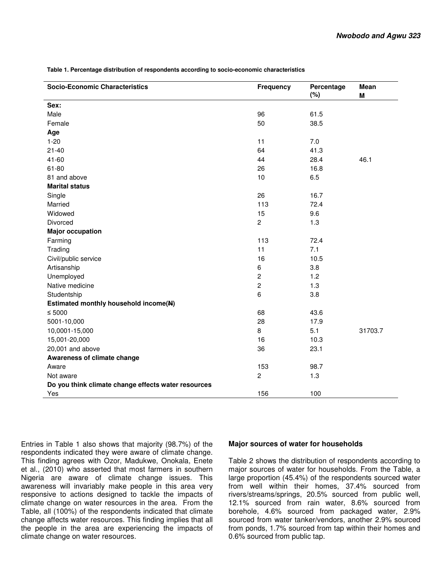| <b>Socio-Economic Characteristics</b>               | <b>Frequency</b> | Percentage<br>(%) | <b>Mean</b><br>M |
|-----------------------------------------------------|------------------|-------------------|------------------|
| Sex:                                                |                  |                   |                  |
| Male                                                | 96               | 61.5              |                  |
| Female                                              | 50               | 38.5              |                  |
| Age                                                 |                  |                   |                  |
| $1 - 20$                                            | 11               | 7.0               |                  |
| $21 - 40$                                           | 64               | 41.3              |                  |
| 41-60                                               | 44               | 28.4              | 46.1             |
| $61 - 80$                                           | 26               | 16.8              |                  |
| 81 and above                                        | 10               | 6.5               |                  |
| <b>Marital status</b>                               |                  |                   |                  |
| Single                                              | 26               | 16.7              |                  |
| Married                                             | 113              | 72.4              |                  |
| Widowed                                             | 15               | 9.6               |                  |
| Divorced                                            | $\overline{c}$   | 1.3               |                  |
| <b>Major occupation</b>                             |                  |                   |                  |
| Farming                                             | 113              | 72.4              |                  |
| Trading                                             | 11               | 7.1               |                  |
| Civil/public service                                | 16               | 10.5              |                  |
| Artisanship                                         | 6                | 3.8               |                  |
| Unemployed                                          | $\overline{c}$   | 1.2               |                  |
| Native medicine                                     | $\overline{c}$   | 1.3               |                  |
| Studentship                                         | 6                | 3.8               |                  |
| Estimated monthly household income(N)               |                  |                   |                  |
| $\leq 5000$                                         | 68               | 43.6              |                  |
| 5001-10,000                                         | 28               | 17.9              |                  |
| 10,0001-15,000                                      | 8                | 5.1               | 31703.7          |
| 15,001-20,000                                       | 16               | 10.3              |                  |
| 20,001 and above                                    | 36               | 23.1              |                  |
| Awareness of climate change                         |                  |                   |                  |
| Aware                                               | 153              | 98.7              |                  |
| Not aware                                           | $\overline{c}$   | 1.3               |                  |
| Do you think climate change effects water resources |                  |                   |                  |
| Yes                                                 | 156              | 100               |                  |

 **Table 1. Percentage distribution of respondents according to socio-economic characteristics** 

Entries in Table 1 also shows that majority (98.7%) of the respondents indicated they were aware of climate change. This finding agrees with Ozor, Madukwe, Onokala, Enete et al., (2010) who asserted that most farmers in southern Nigeria are aware of climate change issues. This awareness will invariably make people in this area very responsive to actions designed to tackle the impacts of climate change on water resources in the area. From the Table, all (100%) of the respondents indicated that climate change affects water resources. This finding implies that all the people in the area are experiencing the impacts of climate change on water resources.

#### **Major sources of water for households**

Table 2 shows the distribution of respondents according to major sources of water for households. From the Table, a large proportion (45.4%) of the respondents sourced water from well within their homes, 37.4% sourced from rivers/streams/springs, 20.5% sourced from public well, 12.1% sourced from rain water, 8.6% sourced from borehole, 4.6% sourced from packaged water, 2.9% sourced from water tanker/vendors, another 2.9% sourced from ponds, 1.7% sourced from tap within their homes and 0.6% sourced from public tap.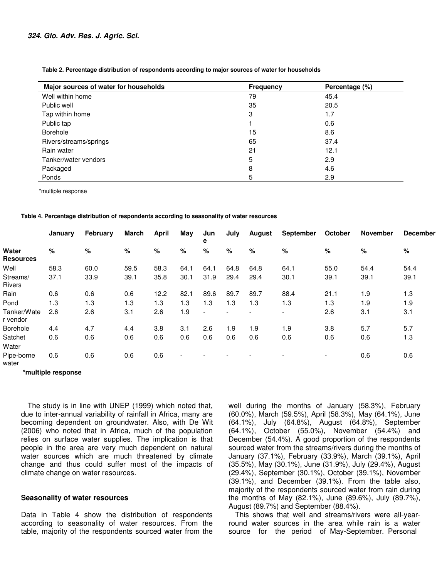| Major sources of water for households | <b>Frequency</b> | Percentage (%) |
|---------------------------------------|------------------|----------------|
| Well within home                      | 79               | 45.4           |
| Public well                           | 35               | 20.5           |
| Tap within home                       | 3                | 1.7            |
| Public tap                            |                  | 0.6            |
| Borehole                              | 15               | 8.6            |
| Rivers/streams/springs                | 65               | 37.4           |
| Rain water                            | 21               | 12.1           |
| Tanker/water vendors                  | 5                | 2.9            |
| Packaged                              | 8                | 4.6            |
| Ponds                                 | 5                | 2.9            |

 **Table 2. Percentage distribution of respondents according to major sources of water for households** 

\*multiple response

**Table 4. Percentage distribution of respondents according to seasonality of water resources** 

|                           | January | February | <b>March</b> | <b>April</b> | May                      | Jun<br>е                 | July                     | <b>August</b>            | <b>September</b>         | October                  | <b>November</b> | <b>December</b> |
|---------------------------|---------|----------|--------------|--------------|--------------------------|--------------------------|--------------------------|--------------------------|--------------------------|--------------------------|-----------------|-----------------|
| Water<br><b>Resources</b> | $\%$    | %        | %            | %            | %                        | $\%$                     | %                        | %                        | %                        | %                        | %               | %               |
| Well                      | 58.3    | 60.0     | 59.5         | 58.3         | 64.1                     | 64.1                     | 64.8                     | 64.8                     | 64.1                     | 55.0                     | 54.4            | 54.4            |
| Streams/<br><b>Rivers</b> | 37.1    | 33.9     | 39.1         | 35.8         | 30.1                     | 31.9                     | 29.4                     | 29.4                     | 30.1                     | 39.1                     | 39.1            | 39.1            |
| Rain                      | 0.6     | 0.6      | 0.6          | 12.2         | 82.1                     | 89.6                     | 89.7                     | 89.7                     | 88.4                     | 21.1                     | 1.9             | 1.3             |
| Pond                      | 1.3     | 1.3      | 1.3          | 1.3          | 1.3                      | 1.3                      | 1.3                      | 1.3                      | 1.3                      | 1.3                      | 1.9             | 1.9             |
| Tanker/Wate<br>r vendor   | 2.6     | 2.6      | 3.1          | 2.6          | 1.9                      | $\overline{\phantom{a}}$ | $\overline{\phantom{0}}$ | $\overline{\phantom{0}}$ | $\overline{\phantom{0}}$ | 2.6                      | 3.1             | 3.1             |
| Borehole                  | 4.4     | 4.7      | 4.4          | 3.8          | 3.1                      | 2.6                      | 1.9                      | 1.9                      | 1.9                      | 3.8                      | 5.7             | 5.7             |
| Satchet<br>Water          | 0.6     | 0.6      | 0.6          | 0.6          | 0.6                      | 0.6                      | 0.6                      | 0.6                      | 0.6                      | 0.6                      | 0.6             | 1.3             |
| Pipe-borne<br>water       | 0.6     | 0.6      | 0.6          | 0.6          | $\overline{\phantom{a}}$ |                          |                          |                          |                          | $\overline{\phantom{a}}$ | 0.6             | 0.6             |

**\*multiple response**

The study is in line with UNEP (1999) which noted that, due to inter-annual variability of rainfall in Africa, many are becoming dependent on groundwater. Also, with De Wit (2006) who noted that in Africa, much of the population relies on surface water supplies. The implication is that people in the area are very much dependent on natural water sources which are much threatened by climate change and thus could suffer most of the impacts of climate change on water resources.

#### **Seasonality of water resources**

Data in Table 4 show the distribution of respondents according to seasonality of water resources. From the table, majority of the respondents sourced water from the well during the months of January (58.3%), February (60.0%), March (59.5%), April (58.3%), May (64.1%), June (64.1%), July (64.8%), August (64.8%), September (64.1%), October (55.0%), November (54.4%) and December (54.4%). A good proportion of the respondents sourced water from the streams/rivers during the months of January (37.1%), February (33.9%), March (39.1%), April (35.5%), May (30.1%), June (31.9%), July (29.4%), August (29.4%), September (30.1%), October (39.1%), November (39.1%), and December (39.1%). From the table also, majority of the respondents sourced water from rain during the months of May (82.1%), June (89.6%), July (89.7%), August (89.7%) and September (88.4%).

This shows that well and streams/rivers were all-yearround water sources in the area while rain is a water source for the period of May-September. Personal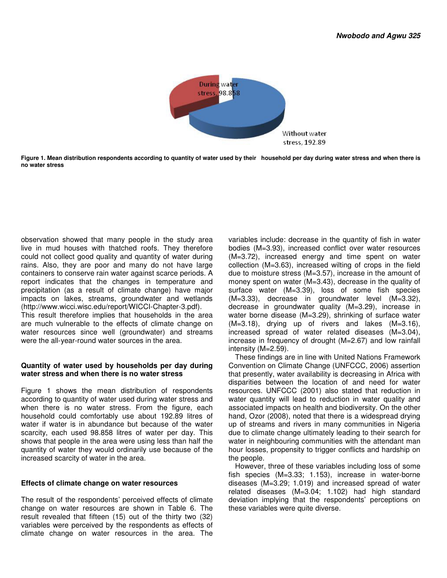

**Figure 1. Mean distribution respondents according to quantity of water used by their household per day during water stress and when there is no water stress** 

observation showed that many people in the study area live in mud houses with thatched roofs. They therefore could not collect good quality and quantity of water during rains. Also, they are poor and many do not have large containers to conserve rain water against scarce periods. A report indicates that the changes in temperature and precipitation (as a result of climate change) have major impacts on lakes, streams, groundwater and wetlands (http://www.wicci.wisc.edu/report/WICCI-Chapter-3.pdf).

This result therefore implies that households in the area are much vulnerable to the effects of climate change on water resources since well (groundwater) and streams were the all-year-round water sources in the area.

## **Quantity of water used by households per day during water stress and when there is no water stress**

Figure 1 shows the mean distribution of respondents according to quantity of water used during water stress and when there is no water stress. From the figure, each household could comfortably use about 192.89 litres of water if water is in abundance but because of the water scarcity, each used 98.858 litres of water per day. This shows that people in the area were using less than half the quantity of water they would ordinarily use because of the increased scarcity of water in the area.

#### **Effects of climate change on water resources**

The result of the respondents' perceived effects of climate change on water resources are shown in Table 6. The result revealed that fifteen (15) out of the thirty two (32) variables were perceived by the respondents as effects of climate change on water resources in the area. The

variables include: decrease in the quantity of fish in water bodies (M=3.93), increased conflict over water resources (M=3.72), increased energy and time spent on water collection (M=3.63), increased wilting of crops in the field due to moisture stress (M=3.57), increase in the amount of money spent on water (M=3.43), decrease in the quality of surface water (M=3.39), loss of some fish species (M=3.33), decrease in groundwater level (M=3.32), decrease in groundwater quality (M=3.29), increase in water borne disease (M=3.29), shrinking of surface water (M=3.18), drying up of rivers and lakes (M=3.16), increased spread of water related diseases (M=3.04), increase in frequency of drought (M=2.67) and low rainfall intensity (M=2.59).

These findings are in line with United Nations Framework Convention on Climate Change (UNFCCC, 2006) assertion that presently, water availability is decreasing in Africa with disparities between the location of and need for water resources. UNFCCC (2001) also stated that reduction in water quantity will lead to reduction in water quality and associated impacts on health and biodiversity. On the other hand, Ozor (2008), noted that there is a widespread drying up of streams and rivers in many communities in Nigeria due to climate change ultimately leading to their search for water in neighbouring communities with the attendant man hour losses, propensity to trigger conflicts and hardship on the people.

However, three of these variables including loss of some fish species (M=3.33; 1.153), increase in water-borne diseases (M=3.29; 1.019) and increased spread of water related diseases (M=3.04; 1.102) had high standard deviation implying that the respondents' perceptions on these variables were quite diverse.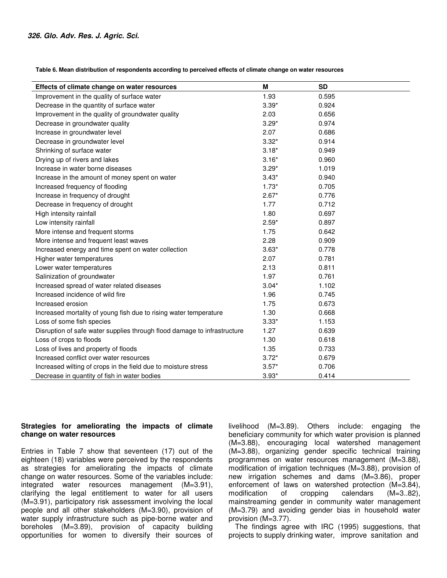**Table 6. Mean distribution of respondents according to perceived effects of climate change on water resources** 

| Effects of climate change on water resources                             | М       | <b>SD</b> |
|--------------------------------------------------------------------------|---------|-----------|
| Improvement in the quality of surface water                              | 1.93    | 0.595     |
| Decrease in the quantity of surface water                                | $3.39*$ | 0.924     |
| Improvement in the quality of groundwater quality                        | 2.03    | 0.656     |
| Decrease in groundwater quality                                          | $3.29*$ | 0.974     |
| Increase in groundwater level                                            | 2.07    | 0.686     |
| Decrease in groundwater level                                            | $3.32*$ | 0.914     |
| Shrinking of surface water                                               | $3.18*$ | 0.949     |
| Drying up of rivers and lakes                                            | $3.16*$ | 0.960     |
| Increase in water borne diseases                                         | $3.29*$ | 1.019     |
| Increase in the amount of money spent on water                           | $3.43*$ | 0.940     |
| Increased frequency of flooding                                          | $1.73*$ | 0.705     |
| Increase in frequency of drought                                         | $2.67*$ | 0.776     |
| Decrease in frequency of drought                                         | 1.77    | 0.712     |
| High intensity rainfall                                                  | 1.80    | 0.697     |
| Low intensity rainfall                                                   | $2.59*$ | 0.897     |
| More intense and frequent storms                                         | 1.75    | 0.642     |
| More intense and frequent least waves                                    | 2.28    | 0.909     |
| Increased energy and time spent on water collection                      | $3.63*$ | 0.778     |
| Higher water temperatures                                                | 2.07    | 0.781     |
| Lower water temperatures                                                 | 2.13    | 0.811     |
| Salinization of groundwater                                              | 1.97    | 0.761     |
| Increased spread of water related diseases                               | $3.04*$ | 1.102     |
| Increased incidence of wild fire                                         | 1.96    | 0.745     |
| Increased erosion                                                        | 1.75    | 0.673     |
| Increased mortality of young fish due to rising water temperature        | 1.30    | 0.668     |
| Loss of some fish species                                                | $3.33*$ | 1.153     |
| Disruption of safe water supplies through flood damage to infrastructure | 1.27    | 0.639     |
| Loss of crops to floods                                                  | 1.30    | 0.618     |
| Loss of lives and property of floods                                     | 1.35    | 0.733     |
| Increased conflict over water resources                                  | $3.72*$ | 0.679     |
| Increased wilting of crops in the field due to moisture stress           | $3.57*$ | 0.706     |
| Decrease in quantity of fish in water bodies                             | $3.93*$ | 0.414     |

# **Strategies for ameliorating the impacts of climate change on water resources**

Entries in Table 7 show that seventeen (17) out of the eighteen (18) variables were perceived by the respondents as strategies for ameliorating the impacts of climate change on water resources. Some of the variables include: integrated water resources management (M=3.91), clarifying the legal entitlement to water for all users (M=3.91), participatory risk assessment involving the local people and all other stakeholders (M=3.90), provision of water supply infrastructure such as pipe-borne water and boreholes (M=3.89), provision of capacity building opportunities for women to diversify their sources of livelihood (M=3.89). Others include: engaging the beneficiary community for which water provision is planned (M=3.88), encouraging local watershed management (M=3.88), organizing gender specific technical training programmes on water resources management (M=3.88), modification of irrigation techniques (M=3.88), provision of new irrigation schemes and dams (M=3.86), proper enforcement of laws on watershed protection (M=3.84), modification of cropping calendars (M=3..82), mainstreaming gender in community water management (M=3.79) and avoiding gender bias in household water provision (M=3.77).

The findings agree with IRC (1995) suggestions, that projects to supply drinking water, improve sanitation and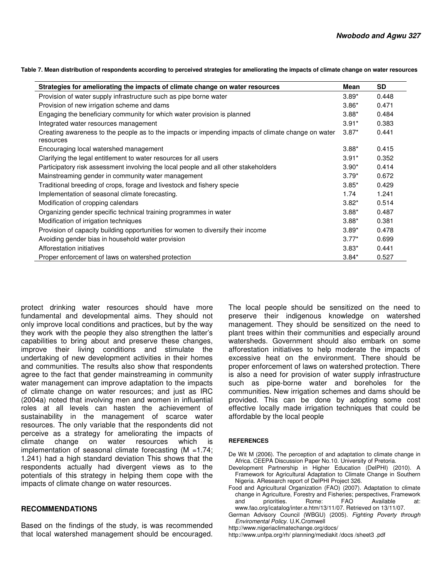**Table 7. Mean distribution of respondents according to perceived strategies for ameliorating the impacts of climate change on water resources** 

| Strategies for ameliorating the impacts of climate change on water resources                                    | Mean    | <b>SD</b> |
|-----------------------------------------------------------------------------------------------------------------|---------|-----------|
| Provision of water supply infrastructure such as pipe borne water                                               | $3.89*$ | 0.448     |
| Provision of new irrigation scheme and dams                                                                     | $3.86*$ | 0.471     |
| Engaging the beneficiary community for which water provision is planned                                         | $3.88*$ | 0.484     |
| Integrated water resources management                                                                           | $3.91*$ | 0.383     |
| Creating awareness to the people as to the impacts or impending impacts of climate change on water<br>resources | $3.87*$ | 0.441     |
| Encouraging local watershed management                                                                          | $3.88*$ | 0.415     |
| Clarifying the legal entitlement to water resources for all users                                               | $3.91*$ | 0.352     |
| Participatory risk assessment involving the local people and all other stakeholders                             | $3.90*$ | 0.414     |
| Mainstreaming gender in community water management                                                              | $3.79*$ | 0.672     |
| Traditional breeding of crops, forage and livestock and fishery specie                                          | $3.85*$ | 0.429     |
| Implementation of seasonal climate forecasting.                                                                 | 1.74    | 1.241     |
| Modification of cropping calendars                                                                              | $3.82*$ | 0.514     |
| Organizing gender specific technical training programmes in water                                               | $3.88*$ | 0.487     |
| Modification of irrigation techniques                                                                           | $3.88*$ | 0.381     |
| Provision of capacity building opportunities for women to diversify their income                                | $3.89*$ | 0.478     |
| Avoiding gender bias in household water provision                                                               | $3.77*$ | 0.699     |
| Afforestation initiatives                                                                                       | $3.83*$ | 0.441     |
| Proper enforcement of laws on watershed protection                                                              | $3.84*$ | 0.527     |

protect drinking water resources should have more fundamental and developmental aims. They should not only improve local conditions and practices, but by the way they work with the people they also strengthen the latter's capabilities to bring about and preserve these changes, improve their living conditions and stimulate the undertaking of new development activities in their homes and communities. The results also show that respondents agree to the fact that gender mainstreaming in community water management can improve adaptation to the impacts of climate change on water resources; and just as IRC (2004a) noted that involving men and women in influential roles at all levels can hasten the achievement of sustainability in the management of scarce water resources. The only variable that the respondents did not perceive as a strategy for ameliorating the impacts of climate change on water resources which is implementation of seasonal climate forecasting  $(M = 1.74)$ ; 1.241) had a high standard deviation This shows that the respondents actually had divergent views as to the potentials of this strategy in helping them cope with the impacts of climate change on water resources.

## **RECOMMENDATIONS**

Based on the findings of the study, is was recommended that local watershed management should be encouraged. The local people should be sensitized on the need to preserve their indigenous knowledge on watershed management. They should be sensitized on the need to plant trees within their communities and especially around watersheds. Government should also embark on some afforestation initiatives to help moderate the impacts of excessive heat on the environment. There should be proper enforcement of laws on watershed protection. There is also a need for provision of water supply infrastructure such as pipe-borne water and boreholes for the communities. New irrigation schemes and dams should be provided. This can be done by adopting some cost effective locally made irrigation techniques that could be affordable by the local people

#### **REFERENCES**

- De Wit M (2006). The perception of and adaptation to climate change in Africa. CEEPA Discussion Paper No.10. University of Pretoria.
- Development Partnership in Higher Education (DelPHI) (2010). A Framework for Agricultural Adaptation to Climate Change in Southern Nigeria. AResearch report of DelPHI Project 326.
- Food and Agricultural Organization (FAO) (2007). Adaptation to climate change in Agriculture, Forestry and Fisheries; perspectives, Framework priorities. Rome: FAO Available at: www.fao.org/icatalog/inter.e.htm/13/11/07. Retrieved on 13/11/07.
- German Advisory Council (WBGU) (2005). *Fighting Poverty through Enviromental Policy*. U.K.Cromwell
- http://www.nigeriaclimatechange.org/docs/
- http://www.unfpa.org/rh/ planning/mediakit /docs /sheet3 .pdf